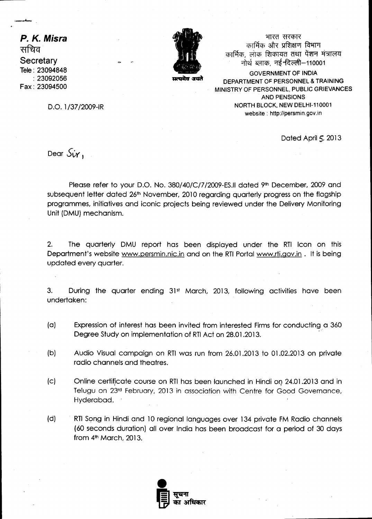**P. K. Misra**  *Tiffiq*  **Secretary**  Tele : 23094848 :23092056 Fax : 23094500



स्त्यमेव जयते

भारत सरकार कार्मिक और प्रशिक्षण विभाग कार्मिक लोक शिकायत तथा पेंशन मंत्रालय नोर्थ ब्लाक, नई नदेल्ली-110001

**GOVERNMENT OF INDIA DEPARTMENT OF PERSONNEL & TRAINING MINISTRY OF PERSONNEL, PUBLIC GRIEVANCES AND PENSIONS NORTH BLOCK, NEW DELHI-110001 website : http://persmin.gov.in** 

D.O. 1/37/2009-IR

Dated April  $5,2013$ 

Dear  $S_{ir}$ ,

Please refer to your D.O. No. 380/40/C/7/2009-ES.II dated 9th December, 2009 and subsequent letter dated 26<sup>th</sup> November, 2010 regarding quarterly progress on the flagship programmes, initiatives and iconic projects being reviewed under the Delivery Monitoring Unit (DMU) mechanism.

2. The quarterly DMU report has been displayed under the RTI Icon on this Department's website www.persmin.nic.in and on the RTI Portal www.rti.gov.in . It is being updated every quarter.

3. During the quarter ending 31st March, 2013, following activities have been undertaken:

- (a) Expression of interest has been invited from interested Firms for conducting a 360 Degree Study on implementation of RTI Act on 28.01.2013.
- (b) Audio Visual campaign on RTI was run from 26.01.2013 to 01.02.2013 on private radio channels and theatres.
- (c) Online certificate course on RTI has been launched in Hindi on 24.01.2013 and in Telugu on 23rd February, 2013 in association with Centre for Good Governance, Hyderabad.
- (d) RTI Song in Hindi and 10 regional languages over 134 private FM Radio channels (60 seconds duration) all over India has been broadcast for a period of 30 days from  $4<sup>th</sup>$  March, 2013.